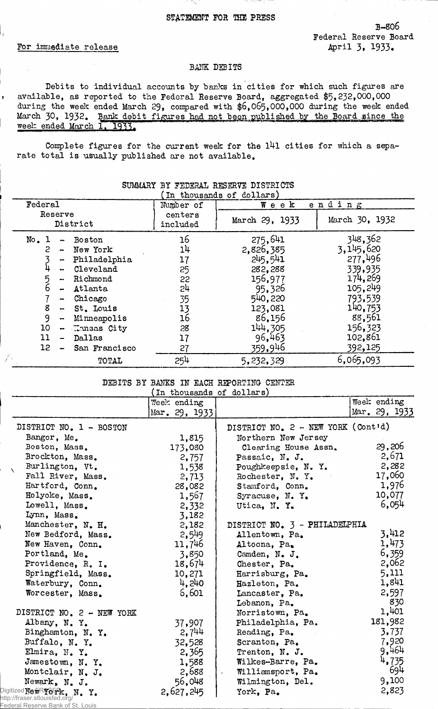#### STATEMENT FOR THE PRESS

B~806 Federal Reserve Board April 3, 1933.

### For immediate release

### BANK DEBITS

Debits to individual accounts by banks in cities for which such figures are ♦ available, as reported to the Federal Reserve Board, aggregated \$5»232,000,000 during the week ended March 29, compared with \$6,065,000,000 during the week ended March 30, 1932. Bank debit figures had not been published by the Board since the week ended March 1, 1933.

Complete figures for the current week for the l4l cities for which a separate total is usually published are not available.

| In thousands of dollars)                                                                                                                                                                                                                                                                  |                                                                |                                                                                                                      |                                                                                                                        |  |  |
|-------------------------------------------------------------------------------------------------------------------------------------------------------------------------------------------------------------------------------------------------------------------------------------------|----------------------------------------------------------------|----------------------------------------------------------------------------------------------------------------------|------------------------------------------------------------------------------------------------------------------------|--|--|
| Federal                                                                                                                                                                                                                                                                                   | Number of                                                      | $W$ e e $K$                                                                                                          | ending                                                                                                                 |  |  |
| Reserve<br>District                                                                                                                                                                                                                                                                       | centers<br>included                                            | March 29, 1933                                                                                                       | March 30, 1932                                                                                                         |  |  |
| No. 1<br>Boston<br>2<br>New York<br>-<br>Philadelphia<br>⊷<br>Cleveland<br>5<br>6<br>Richmond<br>Atlanta<br>$\overline{\phantom{a}}$<br>Chicago<br>8<br>St. Louis<br>$\overline{\phantom{a}}$<br>9<br>Minneapolis<br>$\overline{\phantom{a}}$<br>10<br><b>Kansas City</b><br>11<br>Dallas | 16<br>14<br>17<br>25<br>22<br>54<br>35<br>13<br>16<br>28<br>17 | 275,641<br>2,826,385<br>245,541<br>282,288<br>156,977<br>95,326<br>540,220<br>123,081<br>86,156<br>144.305<br>96,463 | 348,362<br>3,145,620<br>277,496<br>339,935<br>174,269<br>105,249<br>793,539<br>140,753<br>88,561<br>156,323<br>102,861 |  |  |
| 12.<br>San Francisco                                                                                                                                                                                                                                                                      | 27                                                             | 359,946                                                                                                              | 392,125                                                                                                                |  |  |
| TOTAL                                                                                                                                                                                                                                                                                     | 254                                                            | 5, 232, 329                                                                                                          | 6,065,093                                                                                                              |  |  |

## SUMMARY BY FEDERAL RESERVE DISTRICTS

### DEBITS BY BANKS IN EACH REPORTING CENTER

|                                                                                                     | (In thousands of dollars) |                                             |               |
|-----------------------------------------------------------------------------------------------------|---------------------------|---------------------------------------------|---------------|
|                                                                                                     | Week ending               |                                             | Week ending   |
|                                                                                                     | Mar. 29, 1933             |                                             | Mar. 29, 1933 |
| DISTRICT NO. 1 - BOSTON                                                                             |                           | DISTRICT NO. $2 - \text{NEW YORK}$ (Contid) |               |
| Bangor, Me.                                                                                         | 1,815                     | Northern New Jersey                         |               |
| Boston, Mass.                                                                                       | 173,080                   | Clearing House Assn.                        | 29,206        |
| Brockton, Mass.                                                                                     | 2,757                     | Passaic, N. J.                              | 2,671         |
| Burlington, Vt.<br>$\Delta$                                                                         | 1,538                     | Poughkeepsie, N.Y.                          | 2,282         |
| Fall River, Mass.                                                                                   | 2,713                     | Rochester, N.Y.                             | 17,060        |
| Hartford, Conn.                                                                                     | 28,082                    | Stamford, Conn.                             | 1,976         |
| Holyoke, Mass.                                                                                      | 1,567                     | Syracuse, N.Y.                              | 10,077        |
| Lowell, Mass.                                                                                       | 2,332                     | Utica, N.Y.                                 | 6,054         |
| Lynn, Mass.                                                                                         | 3,182                     |                                             |               |
| Manchester, N. H.                                                                                   | 2,182                     | DISTRICT NO. 3 - PHILADELPHIA               |               |
| New Bedford, Mass.                                                                                  | 2,549                     | Allentown, Pa.                              | 3,412         |
| New Haven, Conn.                                                                                    | 11,746                    | Altoona, Pa.                                | 1,473         |
| Portland, Me.                                                                                       | 3,850                     | Camden, N. J.                               | 6,359         |
| Providence, R. I.                                                                                   | 18,674                    | Chester, Pa.                                | 2,062         |
| Springfield, Mass.                                                                                  | 10,271                    | Harrisburg, Pa.                             | 5,111         |
| Waterbury, Conn.                                                                                    | 4,240                     | Hazleton, Pa.                               | 1,841         |
| Worcester, Mass.                                                                                    | 6,601                     | Lancaster, Pa.                              | 2,597         |
|                                                                                                     |                           | Lebanon, Pa.                                | 830           |
| DISTRICT NO. 2 - NEW YORK                                                                           |                           | Norristown, Pa.                             | 1,401         |
| Albany, N.Y.                                                                                        | 37,907                    | Philadelphia, Pa.                           | 181,982       |
| Binghamton, N.Y.                                                                                    | 2,744                     | Reading, Pa.                                | 3,737         |
| Buffalo, N.Y.                                                                                       | 32,528                    | Scranton, Pa.                               | 7,920         |
| Elmira, N.Y.                                                                                        | 2,365                     | Trenton, N. J.                              | 9,464         |
| Jamestown, N.Y.                                                                                     | 1,588                     | Wilkes-Barre, Pa.                           | 4,735         |
| Montclair, N. J.                                                                                    | 2,688                     | Williamsport, Pa.<br>lψ.                    | 694           |
| Newark, N. J.                                                                                       | 56,048                    | Wilmington, Del.                            | 9,100         |
| Digitized New $R$ $\sim$ $\sim$ $\sim$ $\sim$ $\sim$ $\sim$ $\sim$<br>http://fraser.stlouisfed.org/ | 2,627,245                 | York, Pa.                                   | 2,823         |
| Federal Reserve Bank of St. Louis                                                                   |                           |                                             |               |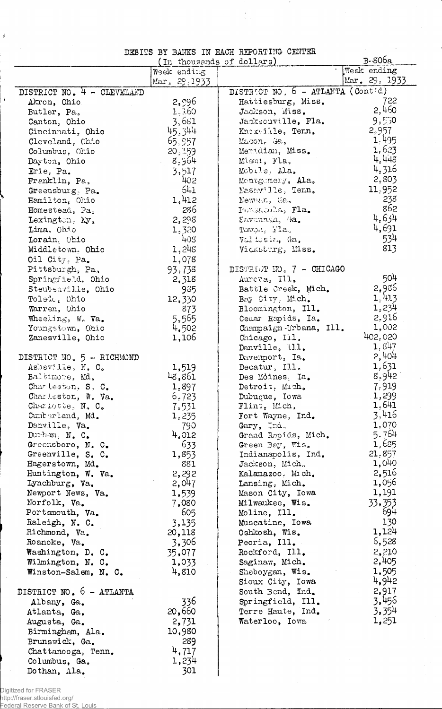# DEBITS BY BANKS IN EACH REPORTING CENTER

 $\label{eq:2.1} \mathcal{L}(\mathcal{L}) = \mathcal{L}(\mathcal{L})$ 

| DEDITO DI DAMBO IN ERVI HELOHITING OENIER<br>B-806a<br>(In thousands of dollars) |                 |                                     |                  |
|----------------------------------------------------------------------------------|-----------------|-------------------------------------|------------------|
|                                                                                  | Week ending     |                                     | Week ending      |
|                                                                                  | Mar. 29.1933    |                                     | Mar. 29, 1933    |
| DISTRICT NO. $4 - CLEVELAND$                                                     |                 | DISTRICT NO. 6 - ATLANTA (Contid)   |                  |
| Akron, Ohio                                                                      | 2,996           | Hattiesburg, Miss.                  | 722              |
| Butler, Pa,                                                                      | 1,3.60          | Jackson, Miss.                      | 2,460            |
| Canton, Ohio                                                                     | 3,681           | Jacksonville, Fla.                  | 9,50             |
| Cincinnati, Ohio                                                                 | 45,344          | Knoxville, Tenn.                    | 2.957            |
| Cleveland, Obio                                                                  | 65,957          | Macon, Ga,                          | 1.495<br>1,623   |
| Columbus, Ohio                                                                   | 20,159          | Meridian, Miss.                     | 4,448            |
| Dayton, Ohio                                                                     | 8,964           | Miami, Fla,                         | 4,316            |
| Erie, Pa.<br>Franklin, Pa,                                                       | 3,517<br>402    | Mobile, Ala.<br>Montgomery, Ala.    | 2,803            |
| Greensburg, Pa.                                                                  | 641             | Nashwille, Tenn.                    | 11,952           |
| Hamilton, Ohio                                                                   | 1,412           | Newman, Ga,                         | 238              |
| Homestead, Pa.                                                                   | 286             | Pensacola, Fla.                     | 862              |
| Lexington, Ky.                                                                   | 2,298           | Savannah, Ga.                       | 4,634            |
| Lima, Ohio                                                                       | 1,320           | Tampa, $\Gamma$ la.                 | 4,691            |
| Lorain, Ohio                                                                     | 408             | Val toste, Ga,                      | 534              |
| Middletown, Ohio                                                                 | 1,248           | Vicksburg, Miss.                    | 813              |
| Oil City, Pa.                                                                    | 1,078           |                                     |                  |
| Pittsburgh, Pa,                                                                  | 93,738          | DISTRIUT NO. 7 - CHICAGO            |                  |
| Springfield, Ohio                                                                | 2,318           | Aurera, Ill.                        | 504              |
| Steubenville, Ohio                                                               | 935             | Battle Creek, Mich.                 | 2,986            |
| Toledo, Ohio                                                                     | 12,330          | Bay City, Mich.                     | 1,4.13           |
| Warren, Ohio                                                                     | 873             | Bloomington, Ill.                   | 1,234            |
| Wheeling, W. Va.                                                                 | 5,565           | Cedar Rapids, Ia.                   | 2,916            |
| Youngstown, Ohio                                                                 | 4,502           | Champaign-Urbana, Ill.              | 1,002<br>402,020 |
| Zanesville, Ohio                                                                 | 1,106           | Chicago, Ill,<br>Danville, Ill.     | $1.8 + 7$        |
| DISTRICT NO. 5 - RICHMOND                                                        |                 | Davenport, Ia.                      | 2,404            |
| Asheville, N. C.                                                                 | 1,519           | $\text{Decatur}, \text{ II.1.}$     | 1,631            |
| Baltimore, Md.                                                                   | 48,861          | Des Moines. Ia.                     | 8,942            |
| Charleston, S. C.                                                                | 1.897           | Detroit, Mich.                      | 7.919            |
| Charleston, W. Va.                                                               | 6,723           | Dubuque, Iowa                       | 1,299            |
| Charlotte, N. C.                                                                 | 7,531           | Flint, Mich,                        | 1,641            |
| Cumberland, Md.                                                                  | 1,235           | Fort Wayne, Ind.                    | 3,416            |
| Danville, Va.                                                                    | 790             | Gary, Ind.                          | 1,070            |
| Durham, N. C.                                                                    | 4,012           | Grand Repids, Mich.                 | 5.764            |
| Greensboro, N. C.                                                                | 633             | Green Bay, Wis.                     | 1,685            |
| Greenville, S. C.<br>Hagerstown, Md.                                             | 1,853<br>881    | Indianapolis, Ind.                  | 21,857<br>1,040  |
| Huntington, W. Va.                                                               | 2,292           | Jackson, Mich.<br>Kalamazoo, Mich.  | 2,516            |
| Lynchburg, Va.                                                                   | 2,047           | Lansing, Mich.                      | 1,056            |
| Newport News, Va.                                                                | 1,539           | Mason City, Iowa                    | 1,191            |
| Norfolk, Va.                                                                     | 7,080           | Milwaukee, Wis.                     | 33,353           |
| Portsmouth, Va.                                                                  | 605             | Moline, Ill.                        | 694              |
| Raleigh, N. C.                                                                   | 3,135           | Muscatine, Iowa                     | 130              |
| Richmond, Va.                                                                    | 20,118          | Oshkosh, Wis.                       | 1,124            |
| Roanoke, Va.                                                                     | 3,306           | Peoria, Ill.                        | 6,528            |
| Washington, D. C.                                                                | 35,077          | Rockford, Ill.                      | 2,210            |
| Wilmington, N. C.                                                                | 1,033           | Saginaw, Mich.                      | 2,405            |
| Winston-Salem, N. C.                                                             | 4,810           | Sheboygan, Wis.                     | 1,505            |
|                                                                                  |                 | Sioux City, Iowa                    | 4,942            |
| DISTRICT NO. 6 - ATLANTA                                                         |                 | South Bend, Ind.                    | . 2,917          |
| Albany, Ga.                                                                      | 336             | Springfield, Ill.                   | 3,456            |
| Atlanta, Ga.                                                                     | 20,660<br>2,731 | Terre Haute, Ind.<br>Waterloo, Iowa | 3,354<br>1,251   |
| Augusta, Ga.<br>Birmingham, Ala.                                                 | 10,980          |                                     |                  |
| Brunswick, Ga.                                                                   | 289             |                                     |                  |
| Chattanooga, Tenn.                                                               | 4,717           |                                     |                  |
| Columbus, Ga.                                                                    | 1,234           |                                     |                  |
| Dothan, Ala.                                                                     | 301             |                                     |                  |

Digitized for FRASER<br>http://fraser.stlouisfed.org/<br>Federal Reserve Ba<u>nk of St. Louis</u>

 $\hat{\mathbf{A}}$ 

 $\dot{\mathbf{j}}$